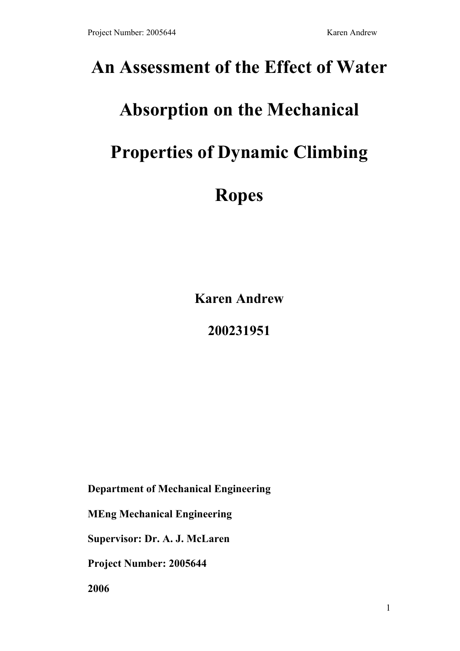## **An Assessment of the Effect of Water**

# **Absorption on the Mechanical**

# **Properties of Dynamic Climbing**

# **Ropes**

**Karen Andrew**

**200231951** 

**Department of Mechanical Engineering** 

**MEng Mechanical Engineering** 

**Supervisor: Dr. A. J. McLaren** 

**Project Number: 2005644** 

**2006**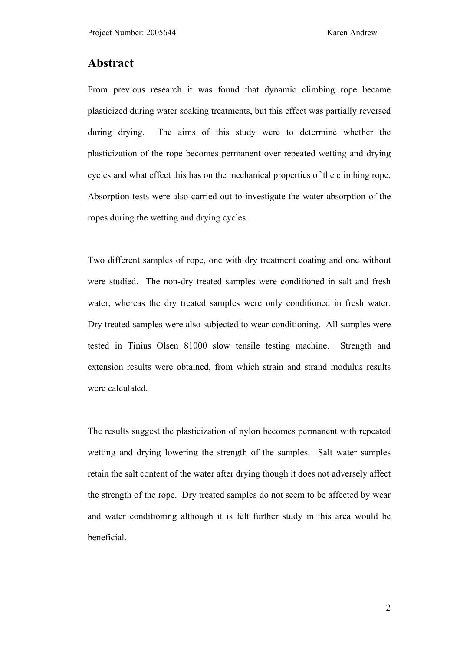## **Abstract**

From previous research it was found that dynamic climbing rope became plasticized during water soaking treatments, but this effect was partially reversed during drying. The aims of this study were to determine whether the plasticization of the rope becomes permanent over repeated wetting and drying cycles and what effect this has on the mechanical properties of the climbing rope. Absorption tests were also carried out to investigate the water absorption of the ropes during the wetting and drying cycles.

Two different samples of rope, one with dry treatment coating and one without were studied. The non-dry treated samples were conditioned in salt and fresh water, whereas the dry treated samples were only conditioned in fresh water. Dry treated samples were also subjected to wear conditioning. All samples were tested in Tinius Olsen 81000 slow tensile testing machine. Strength and extension results were obtained, from which strain and strand modulus results were calculated.

The results suggest the plasticization of nylon becomes permanent with repeated wetting and drying lowering the strength of the samples. Salt water samples retain the salt content of the water after drying though it does not adversely affect the strength of the rope. Dry treated samples do not seem to be affected by wear and water conditioning although it is felt further study in this area would be beneficial.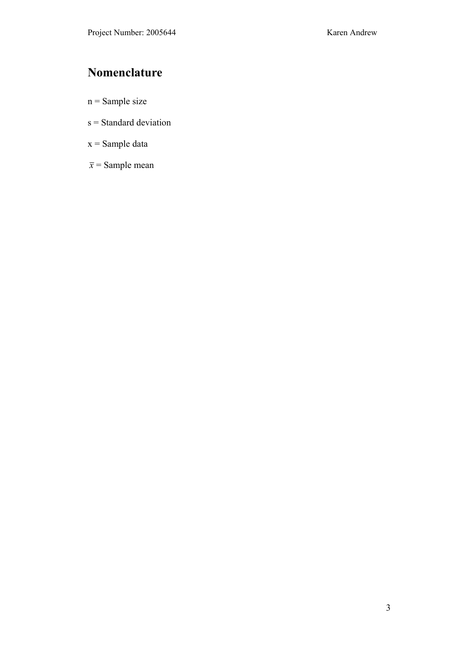## **Nomenclature**

- $n =$  Sample size
- s = Standard deviation
- $x =$ Sample data
- $\bar{x}$  = Sample mean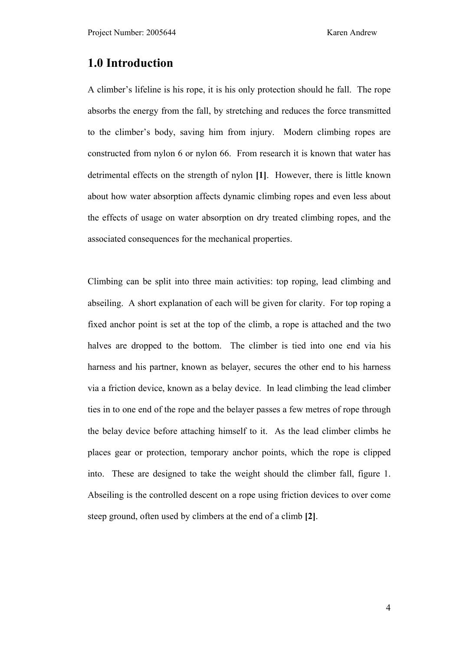## **1.0 Introduction**

A climber's lifeline is his rope, it is his only protection should he fall. The rope absorbs the energy from the fall, by stretching and reduces the force transmitted to the climber's body, saving him from injury. Modern climbing ropes are constructed from nylon 6 or nylon 66. From research it is known that water has detrimental effects on the strength of nylon **[1]**. However, there is little known about how water absorption affects dynamic climbing ropes and even less about the effects of usage on water absorption on dry treated climbing ropes, and the associated consequences for the mechanical properties.

Climbing can be split into three main activities: top roping, lead climbing and abseiling. A short explanation of each will be given for clarity. For top roping a fixed anchor point is set at the top of the climb, a rope is attached and the two halves are dropped to the bottom. The climber is tied into one end via his harness and his partner, known as belayer, secures the other end to his harness via a friction device, known as a belay device. In lead climbing the lead climber ties in to one end of the rope and the belayer passes a few metres of rope through the belay device before attaching himself to it. As the lead climber climbs he places gear or protection, temporary anchor points, which the rope is clipped into. These are designed to take the weight should the climber fall, figure 1. Abseiling is the controlled descent on a rope using friction devices to over come steep ground, often used by climbers at the end of a climb **[2]**.

4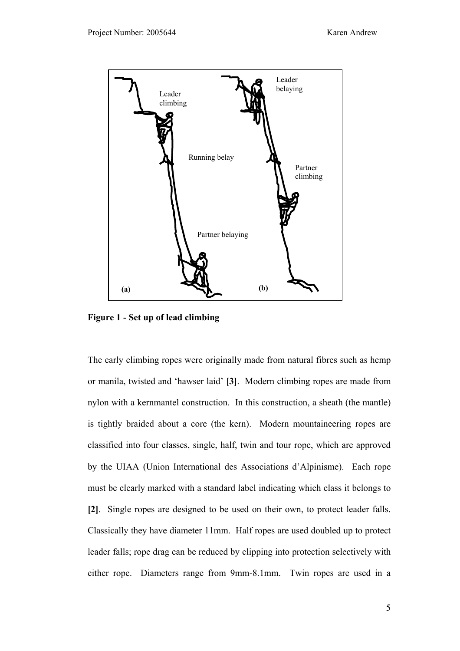

**Figure 1 - Set up of lead climbing** 

The early climbing ropes were originally made from natural fibres such as hemp or manila, twisted and 'hawser laid' **[3]**. Modern climbing ropes are made from nylon with a kernmantel construction. In this construction, a sheath (the mantle) is tightly braided about a core (the kern). Modern mountaineering ropes are classified into four classes, single, half, twin and tour rope, which are approved by the UIAA (Union International des Associations d'Alpinisme). Each rope must be clearly marked with a standard label indicating which class it belongs to **[2]**. Single ropes are designed to be used on their own, to protect leader falls. Classically they have diameter 11mm. Half ropes are used doubled up to protect leader falls; rope drag can be reduced by clipping into protection selectively with either rope. Diameters range from 9mm-8.1mm. Twin ropes are used in a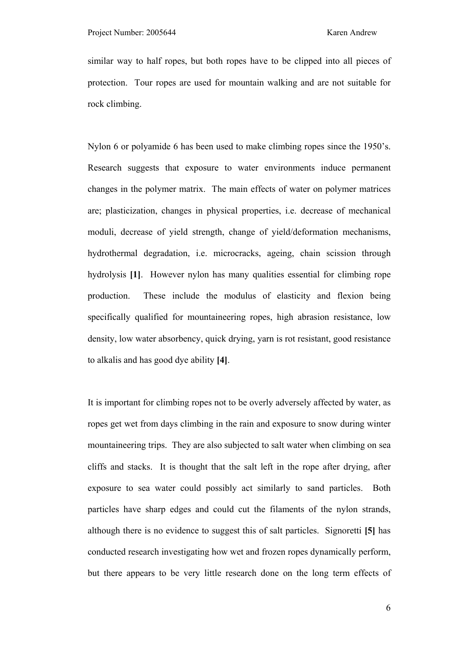similar way to half ropes, but both ropes have to be clipped into all pieces of protection. Tour ropes are used for mountain walking and are not suitable for rock climbing.

Nylon 6 or polyamide 6 has been used to make climbing ropes since the 1950's. Research suggests that exposure to water environments induce permanent changes in the polymer matrix. The main effects of water on polymer matrices are; plasticization, changes in physical properties, i.e. decrease of mechanical moduli, decrease of yield strength, change of yield/deformation mechanisms, hydrothermal degradation, i.e. microcracks, ageing, chain scission through hydrolysis **[1]**. However nylon has many qualities essential for climbing rope production. These include the modulus of elasticity and flexion being specifically qualified for mountaineering ropes, high abrasion resistance, low density, low water absorbency, quick drying, yarn is rot resistant, good resistance to alkalis and has good dye ability **[4]**.

It is important for climbing ropes not to be overly adversely affected by water, as ropes get wet from days climbing in the rain and exposure to snow during winter mountaineering trips. They are also subjected to salt water when climbing on sea cliffs and stacks. It is thought that the salt left in the rope after drying, after exposure to sea water could possibly act similarly to sand particles. Both particles have sharp edges and could cut the filaments of the nylon strands, although there is no evidence to suggest this of salt particles. Signoretti **[5]** has conducted research investigating how wet and frozen ropes dynamically perform, but there appears to be very little research done on the long term effects of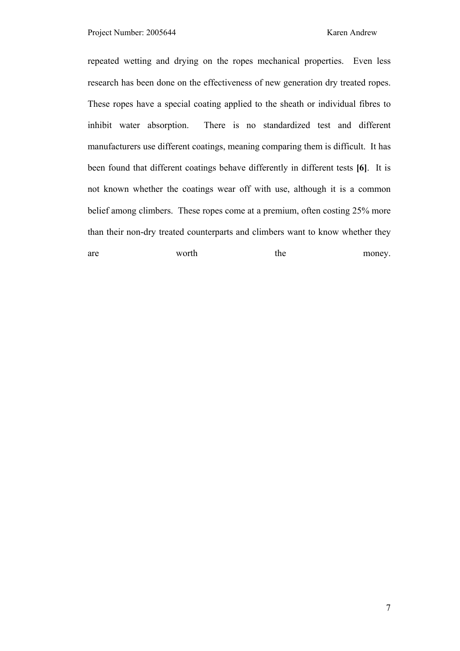repeated wetting and drying on the ropes mechanical properties. Even less research has been done on the effectiveness of new generation dry treated ropes. These ropes have a special coating applied to the sheath or individual fibres to inhibit water absorption. There is no standardized test and different manufacturers use different coatings, meaning comparing them is difficult. It has been found that different coatings behave differently in different tests **[6]**. It is not known whether the coatings wear off with use, although it is a common belief among climbers. These ropes come at a premium, often costing 25% more than their non-dry treated counterparts and climbers want to know whether they

are worth the money.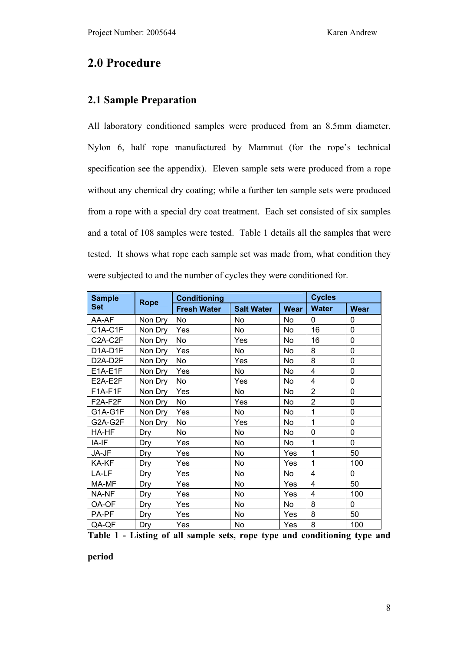## **2.0 Procedure**

### **2.1 Sample Preparation**

All laboratory conditioned samples were produced from an 8.5mm diameter, Nylon 6, half rope manufactured by Mammut (for the rope's technical specification see the appendix). Eleven sample sets were produced from a rope without any chemical dry coating; while a further ten sample sets were produced from a rope with a special dry coat treatment. Each set consisted of six samples and a total of 108 samples were tested. Table 1 details all the samples that were tested. It shows what rope each sample set was made from, what condition they were subjected to and the number of cycles they were conditioned for.

| <b>Sample</b>                     |             | <b>Conditioning</b> | <b>Cycles</b>     |             |                |                |
|-----------------------------------|-------------|---------------------|-------------------|-------------|----------------|----------------|
| <b>Set</b>                        | <b>Rope</b> | <b>Fresh Water</b>  | <b>Salt Water</b> | <b>Wear</b> | <b>Water</b>   | <b>Wear</b>    |
| AA-AF                             | Non Dry     | No                  | No                | No.         | 0              | $\Omega$       |
| C1A-C1F                           | Non Dry     | Yes                 | No                | No          | 16             | 0              |
| C2A-C2F                           | Non Dry     | No                  | Yes               | No          | 16             | 0              |
| D1A-D1F                           | Non Dry     | Yes                 | No                | No          | 8              | 0              |
| D <sub>2</sub> A-D <sub>2</sub> F | Non Dry     | No                  | Yes               | <b>No</b>   | 8              | $\overline{0}$ |
| E1A-E1F                           | Non Dry     | Yes                 | No                | No          | 4              | 0              |
| E2A-E2F                           | Non Dry     | No                  | Yes               | <b>No</b>   | 4              | 0              |
| F1A-F1F                           | Non Dry     | Yes                 | No                | No.         | $\overline{2}$ | 0              |
| F2A-F2F                           | Non Dry     | No                  | Yes               | No.         | $\overline{2}$ | 0              |
| G1A-G1F                           | Non Dry     | Yes                 | <b>No</b>         | <b>No</b>   | 1              | 0              |
| G2A-G2F                           | Non Dry     | No                  | Yes               | No          | 1              | $\Omega$       |
| HA-HF                             | Dry         | No                  | No                | No          | 0              | 0              |
| IA-IF                             | Dry         | Yes                 | No                | No.         | 1              | 0              |
| JA-JF                             | Dry         | Yes                 | No                | Yes         | 1              | 50             |
| KA-KF                             | Dry         | Yes                 | <b>No</b>         | Yes         | 1              | 100            |
| LA-LF                             | Dry         | Yes                 | No                | No          | 4              | $\Omega$       |
| MA-MF                             | Dry         | Yes                 | No                | Yes         | 4              | 50             |
| NA-NF                             | Dry         | Yes                 | No                | Yes         | $\overline{4}$ | 100            |
| OA-OF                             | Dry         | Yes                 | No                | No          | 8              | $\Omega$       |
| PA-PF                             | Dry         | Yes                 | <b>No</b>         | Yes         | 8              | 50             |
| QA-QF                             | Dry         | Yes                 | No                | Yes         | 8              | 100            |

**Table 1 - Listing of all sample sets, rope type and conditioning type and** 

**period**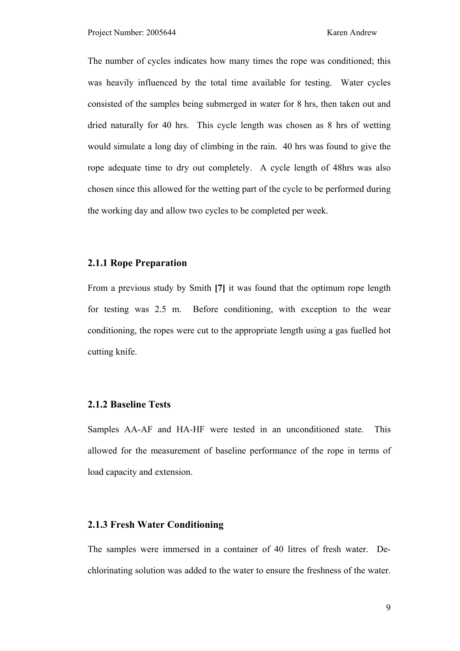The number of cycles indicates how many times the rope was conditioned; this was heavily influenced by the total time available for testing. Water cycles consisted of the samples being submerged in water for 8 hrs, then taken out and dried naturally for 40 hrs. This cycle length was chosen as 8 hrs of wetting would simulate a long day of climbing in the rain. 40 hrs was found to give the rope adequate time to dry out completely. A cycle length of 48hrs was also chosen since this allowed for the wetting part of the cycle to be performed during the working day and allow two cycles to be completed per week.

#### **2.1.1 Rope Preparation**

From a previous study by Smith **[7]** it was found that the optimum rope length for testing was 2.5 m. Before conditioning, with exception to the wear conditioning, the ropes were cut to the appropriate length using a gas fuelled hot cutting knife.

#### **2.1.2 Baseline Tests**

Samples AA-AF and HA-HF were tested in an unconditioned state. This allowed for the measurement of baseline performance of the rope in terms of load capacity and extension.

#### **2.1.3 Fresh Water Conditioning**

The samples were immersed in a container of 40 litres of fresh water. Dechlorinating solution was added to the water to ensure the freshness of the water.

9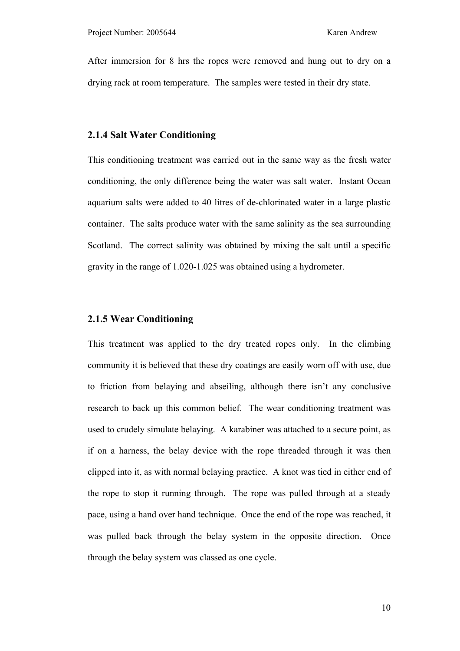After immersion for 8 hrs the ropes were removed and hung out to dry on a drying rack at room temperature. The samples were tested in their dry state.

#### **2.1.4 Salt Water Conditioning**

This conditioning treatment was carried out in the same way as the fresh water conditioning, the only difference being the water was salt water. Instant Ocean aquarium salts were added to 40 litres of de-chlorinated water in a large plastic container. The salts produce water with the same salinity as the sea surrounding Scotland. The correct salinity was obtained by mixing the salt until a specific gravity in the range of 1.020-1.025 was obtained using a hydrometer.

#### **2.1.5 Wear Conditioning**

This treatment was applied to the dry treated ropes only. In the climbing community it is believed that these dry coatings are easily worn off with use, due to friction from belaying and abseiling, although there isn't any conclusive research to back up this common belief. The wear conditioning treatment was used to crudely simulate belaying. A karabiner was attached to a secure point, as if on a harness, the belay device with the rope threaded through it was then clipped into it, as with normal belaying practice. A knot was tied in either end of the rope to stop it running through. The rope was pulled through at a steady pace, using a hand over hand technique. Once the end of the rope was reached, it was pulled back through the belay system in the opposite direction. Once through the belay system was classed as one cycle.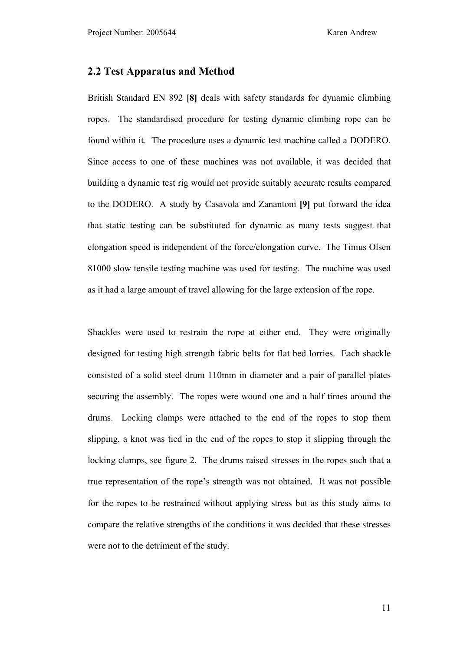#### **2.2 Test Apparatus and Method**

British Standard EN 892 **[8]** deals with safety standards for dynamic climbing ropes. The standardised procedure for testing dynamic climbing rope can be found within it. The procedure uses a dynamic test machine called a DODERO. Since access to one of these machines was not available, it was decided that building a dynamic test rig would not provide suitably accurate results compared to the DODERO. A study by Casavola and Zanantoni **[9]** put forward the idea that static testing can be substituted for dynamic as many tests suggest that elongation speed is independent of the force/elongation curve. The Tinius Olsen 81000 slow tensile testing machine was used for testing. The machine was used as it had a large amount of travel allowing for the large extension of the rope.

Shackles were used to restrain the rope at either end. They were originally designed for testing high strength fabric belts for flat bed lorries. Each shackle consisted of a solid steel drum 110mm in diameter and a pair of parallel plates securing the assembly. The ropes were wound one and a half times around the drums. Locking clamps were attached to the end of the ropes to stop them slipping, a knot was tied in the end of the ropes to stop it slipping through the locking clamps, see figure 2. The drums raised stresses in the ropes such that a true representation of the rope's strength was not obtained. It was not possible for the ropes to be restrained without applying stress but as this study aims to compare the relative strengths of the conditions it was decided that these stresses were not to the detriment of the study.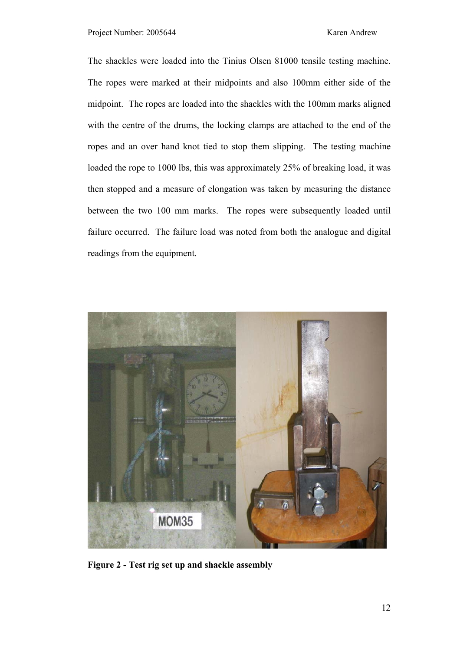The shackles were loaded into the Tinius Olsen 81000 tensile testing machine. The ropes were marked at their midpoints and also 100mm either side of the midpoint. The ropes are loaded into the shackles with the 100mm marks aligned with the centre of the drums, the locking clamps are attached to the end of the ropes and an over hand knot tied to stop them slipping. The testing machine loaded the rope to 1000 lbs, this was approximately 25% of breaking load, it was then stopped and a measure of elongation was taken by measuring the distance between the two 100 mm marks. The ropes were subsequently loaded until failure occurred. The failure load was noted from both the analogue and digital readings from the equipment.



**Figure 2 - Test rig set up and shackle assembly**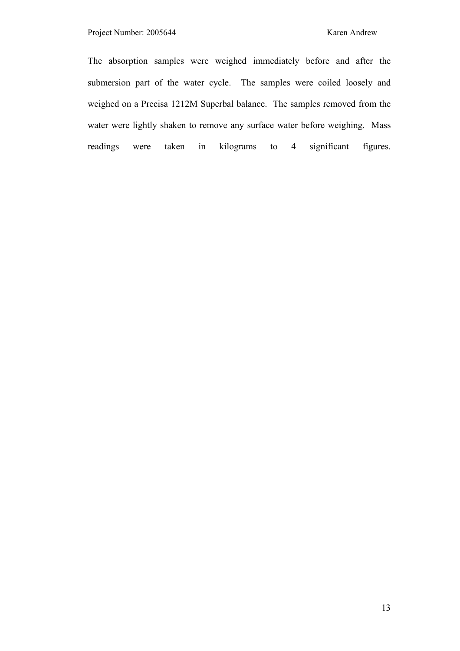The absorption samples were weighed immediately before and after the submersion part of the water cycle. The samples were coiled loosely and weighed on a Precisa 1212M Superbal balance. The samples removed from the water were lightly shaken to remove any surface water before weighing. Mass readings were taken in kilograms to 4 significant figures.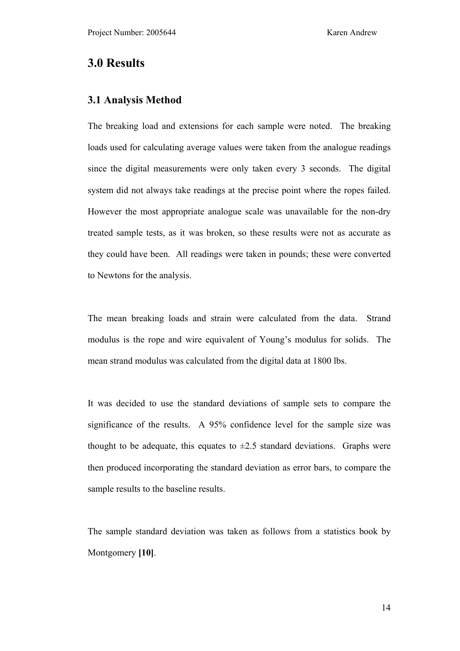## **3.0 Results**

#### **3.1 Analysis Method**

The breaking load and extensions for each sample were noted. The breaking loads used for calculating average values were taken from the analogue readings since the digital measurements were only taken every 3 seconds. The digital system did not always take readings at the precise point where the ropes failed. However the most appropriate analogue scale was unavailable for the non-dry treated sample tests, as it was broken, so these results were not as accurate as they could have been. All readings were taken in pounds; these were converted to Newtons for the analysis.

The mean breaking loads and strain were calculated from the data. Strand modulus is the rope and wire equivalent of Young's modulus for solids. The mean strand modulus was calculated from the digital data at 1800 lbs.

It was decided to use the standard deviations of sample sets to compare the significance of the results. A 95% confidence level for the sample size was thought to be adequate, this equates to  $\pm 2.5$  standard deviations. Graphs were then produced incorporating the standard deviation as error bars, to compare the sample results to the baseline results.

The sample standard deviation was taken as follows from a statistics book by Montgomery **[10]**.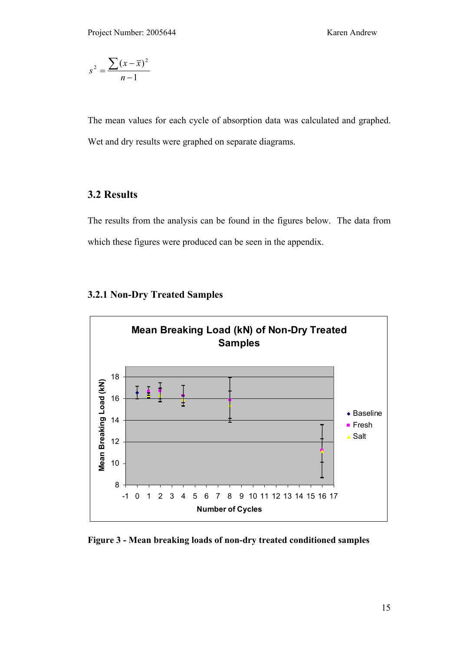$$
s^2 = \frac{\sum (x - \overline{x})^2}{n-1}
$$

The mean values for each cycle of absorption data was calculated and graphed. Wet and dry results were graphed on separate diagrams.

### **3.2 Results**

The results from the analysis can be found in the figures below. The data from which these figures were produced can be seen in the appendix.



#### **3.2.1 Non-Dry Treated Samples**

**Figure 3 - Mean breaking loads of non-dry treated conditioned samples**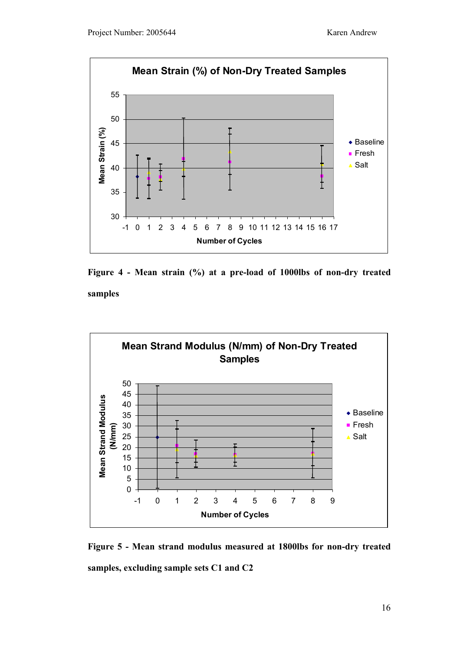





**Figure 5 - Mean strand modulus measured at 1800lbs for non-dry treated samples, excluding sample sets C1 and C2**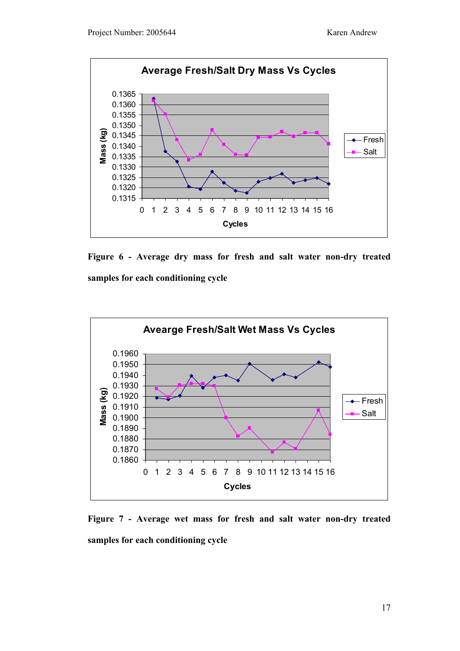





**Figure 7 - Average wet mass for fresh and salt water non-dry treated samples for each conditioning cycle**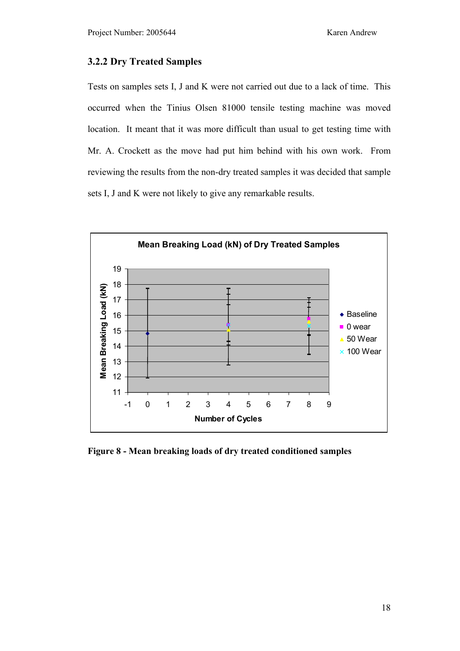#### **3.2.2 Dry Treated Samples**

Tests on samples sets I, J and K were not carried out due to a lack of time. This occurred when the Tinius Olsen 81000 tensile testing machine was moved location. It meant that it was more difficult than usual to get testing time with Mr. A. Crockett as the move had put him behind with his own work. From reviewing the results from the non-dry treated samples it was decided that sample sets I, J and K were not likely to give any remarkable results.



**Figure 8 - Mean breaking loads of dry treated conditioned samples**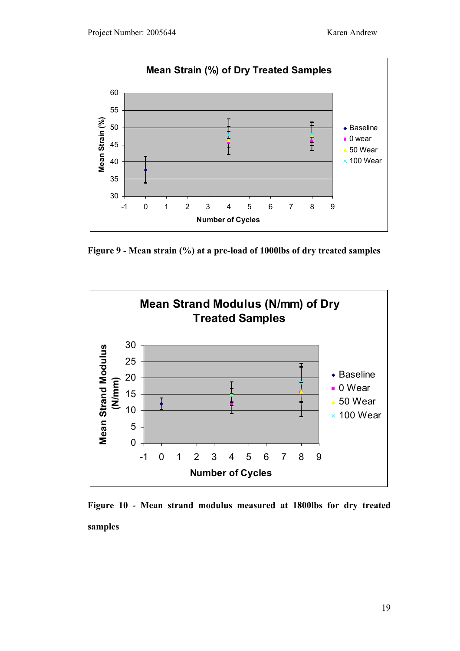

**Figure 9 - Mean strain (%) at a pre-load of 1000lbs of dry treated samples** 



**Figure 10 - Mean strand modulus measured at 1800lbs for dry treated samples**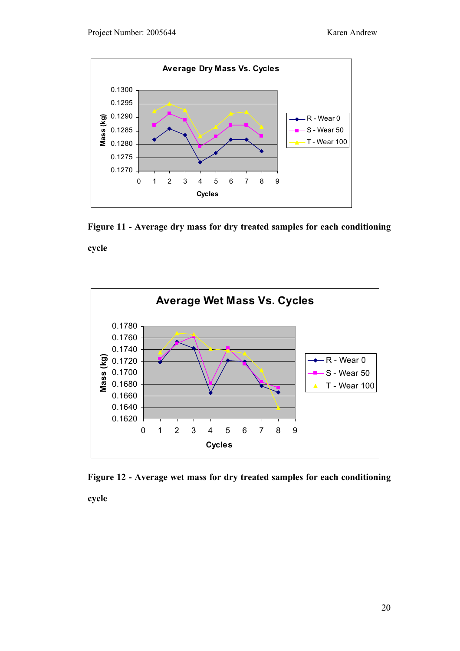

**Figure 11 - Average dry mass for dry treated samples for each conditioning cycle** 



**Figure 12 - Average wet mass for dry treated samples for each conditioning** 

**cycle**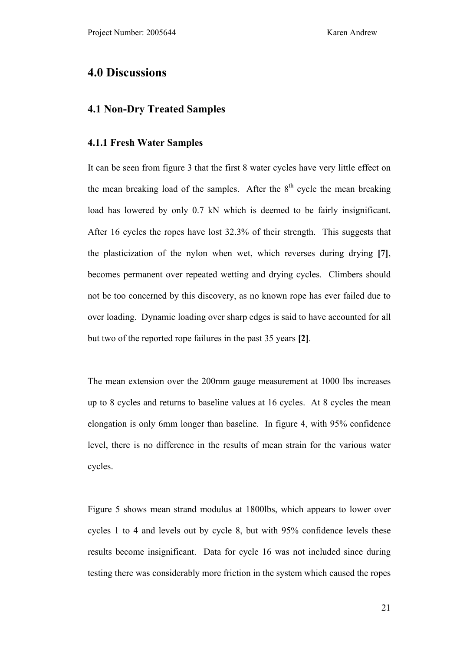## **4.0 Discussions**

#### **4.1 Non-Dry Treated Samples**

#### **4.1.1 Fresh Water Samples**

It can be seen from figure 3 that the first 8 water cycles have very little effect on the mean breaking load of the samples. After the  $8<sup>th</sup>$  cycle the mean breaking load has lowered by only 0.7 kN which is deemed to be fairly insignificant. After 16 cycles the ropes have lost 32.3% of their strength. This suggests that the plasticization of the nylon when wet, which reverses during drying **[7]**, becomes permanent over repeated wetting and drying cycles. Climbers should not be too concerned by this discovery, as no known rope has ever failed due to over loading. Dynamic loading over sharp edges is said to have accounted for all but two of the reported rope failures in the past 35 years **[2]**.

The mean extension over the 200mm gauge measurement at 1000 lbs increases up to 8 cycles and returns to baseline values at 16 cycles. At 8 cycles the mean elongation is only 6mm longer than baseline. In figure 4, with 95% confidence level, there is no difference in the results of mean strain for the various water cycles.

Figure 5 shows mean strand modulus at 1800lbs, which appears to lower over cycles 1 to 4 and levels out by cycle 8, but with 95% confidence levels these results become insignificant. Data for cycle 16 was not included since during testing there was considerably more friction in the system which caused the ropes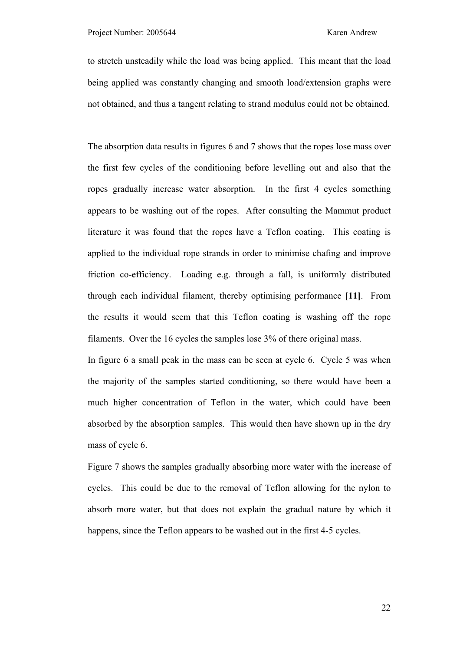to stretch unsteadily while the load was being applied. This meant that the load being applied was constantly changing and smooth load/extension graphs were not obtained, and thus a tangent relating to strand modulus could not be obtained.

The absorption data results in figures 6 and 7 shows that the ropes lose mass over the first few cycles of the conditioning before levelling out and also that the ropes gradually increase water absorption. In the first 4 cycles something appears to be washing out of the ropes. After consulting the Mammut product literature it was found that the ropes have a Teflon coating. This coating is applied to the individual rope strands in order to minimise chafing and improve friction co-efficiency. Loading e.g. through a fall, is uniformly distributed through each individual filament, thereby optimising performance **[11]**. From the results it would seem that this Teflon coating is washing off the rope filaments. Over the 16 cycles the samples lose 3% of there original mass.

In figure 6 a small peak in the mass can be seen at cycle 6. Cycle 5 was when the majority of the samples started conditioning, so there would have been a much higher concentration of Teflon in the water, which could have been absorbed by the absorption samples. This would then have shown up in the dry mass of cycle 6.

Figure 7 shows the samples gradually absorbing more water with the increase of cycles. This could be due to the removal of Teflon allowing for the nylon to absorb more water, but that does not explain the gradual nature by which it happens, since the Teflon appears to be washed out in the first 4-5 cycles.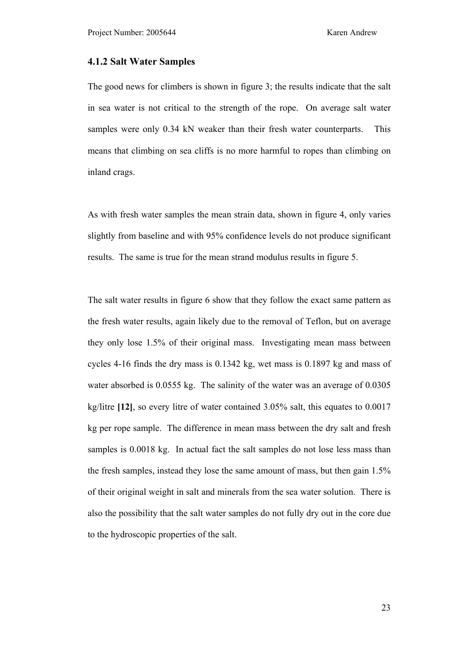#### **4.1.2 Salt Water Samples**

The good news for climbers is shown in figure 3; the results indicate that the salt in sea water is not critical to the strength of the rope. On average salt water samples were only 0.34 kN weaker than their fresh water counterparts. This means that climbing on sea cliffs is no more harmful to ropes than climbing on inland crags.

As with fresh water samples the mean strain data, shown in figure 4, only varies slightly from baseline and with 95% confidence levels do not produce significant results. The same is true for the mean strand modulus results in figure 5.

The salt water results in figure 6 show that they follow the exact same pattern as the fresh water results, again likely due to the removal of Teflon, but on average they only lose 1.5% of their original mass. Investigating mean mass between cycles 4-16 finds the dry mass is 0.1342 kg, wet mass is 0.1897 kg and mass of water absorbed is 0.0555 kg. The salinity of the water was an average of 0.0305 kg/litre **[12]**, so every litre of water contained 3.05% salt, this equates to 0.0017 kg per rope sample. The difference in mean mass between the dry salt and fresh samples is 0.0018 kg. In actual fact the salt samples do not lose less mass than the fresh samples, instead they lose the same amount of mass, but then gain 1.5% of their original weight in salt and minerals from the sea water solution. There is also the possibility that the salt water samples do not fully dry out in the core due to the hydroscopic properties of the salt.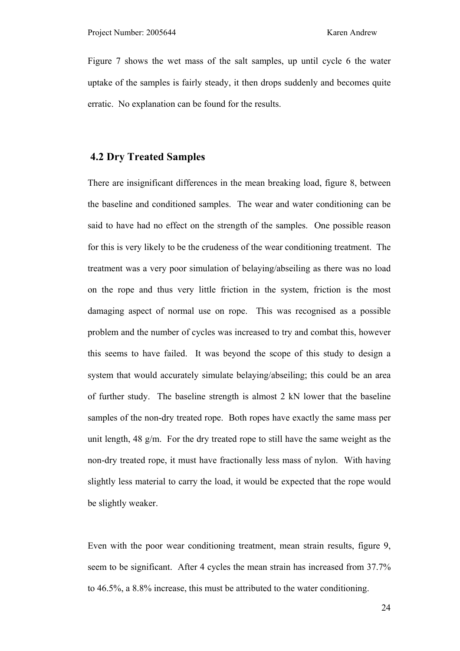Figure 7 shows the wet mass of the salt samples, up until cycle 6 the water uptake of the samples is fairly steady, it then drops suddenly and becomes quite erratic. No explanation can be found for the results.

#### **4.2 Dry Treated Samples**

There are insignificant differences in the mean breaking load, figure 8, between the baseline and conditioned samples. The wear and water conditioning can be said to have had no effect on the strength of the samples. One possible reason for this is very likely to be the crudeness of the wear conditioning treatment. The treatment was a very poor simulation of belaying/abseiling as there was no load on the rope and thus very little friction in the system, friction is the most damaging aspect of normal use on rope. This was recognised as a possible problem and the number of cycles was increased to try and combat this, however this seems to have failed. It was beyond the scope of this study to design a system that would accurately simulate belaying/abseiling; this could be an area of further study. The baseline strength is almost 2 kN lower that the baseline samples of the non-dry treated rope. Both ropes have exactly the same mass per unit length, 48 g/m. For the dry treated rope to still have the same weight as the non-dry treated rope, it must have fractionally less mass of nylon. With having slightly less material to carry the load, it would be expected that the rope would be slightly weaker.

Even with the poor wear conditioning treatment, mean strain results, figure 9, seem to be significant. After 4 cycles the mean strain has increased from 37.7% to 46.5%, a 8.8% increase, this must be attributed to the water conditioning.

24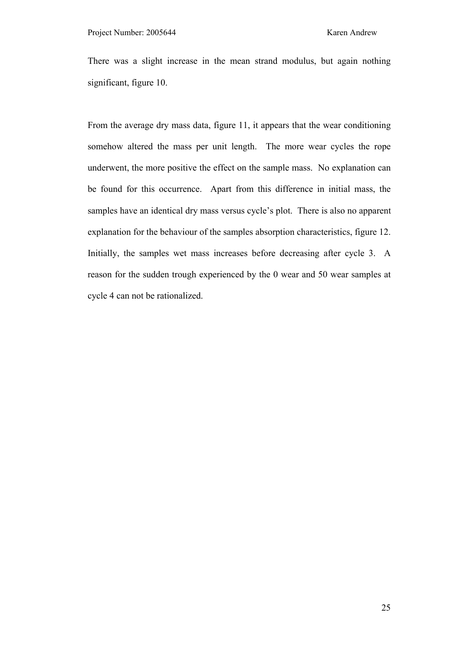There was a slight increase in the mean strand modulus, but again nothing significant, figure 10.

From the average dry mass data, figure 11, it appears that the wear conditioning somehow altered the mass per unit length. The more wear cycles the rope underwent, the more positive the effect on the sample mass. No explanation can be found for this occurrence. Apart from this difference in initial mass, the samples have an identical dry mass versus cycle's plot. There is also no apparent explanation for the behaviour of the samples absorption characteristics, figure 12. Initially, the samples wet mass increases before decreasing after cycle 3. A reason for the sudden trough experienced by the 0 wear and 50 wear samples at cycle 4 can not be rationalized.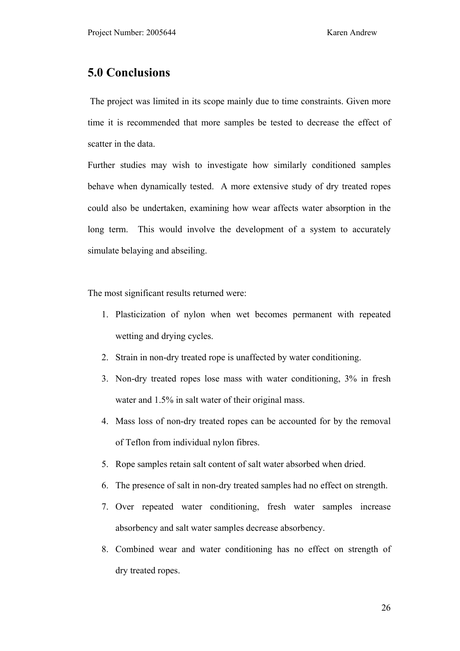## **5.0 Conclusions**

 The project was limited in its scope mainly due to time constraints. Given more time it is recommended that more samples be tested to decrease the effect of scatter in the data.

Further studies may wish to investigate how similarly conditioned samples behave when dynamically tested. A more extensive study of dry treated ropes could also be undertaken, examining how wear affects water absorption in the long term. This would involve the development of a system to accurately simulate belaying and abseiling.

The most significant results returned were:

- 1. Plasticization of nylon when wet becomes permanent with repeated wetting and drying cycles.
- 2. Strain in non-dry treated rope is unaffected by water conditioning.
- 3. Non-dry treated ropes lose mass with water conditioning, 3% in fresh water and 1.5% in salt water of their original mass.
- 4. Mass loss of non-dry treated ropes can be accounted for by the removal of Teflon from individual nylon fibres.
- 5. Rope samples retain salt content of salt water absorbed when dried.
- 6. The presence of salt in non-dry treated samples had no effect on strength.
- 7. Over repeated water conditioning, fresh water samples increase absorbency and salt water samples decrease absorbency.
- 8. Combined wear and water conditioning has no effect on strength of dry treated ropes.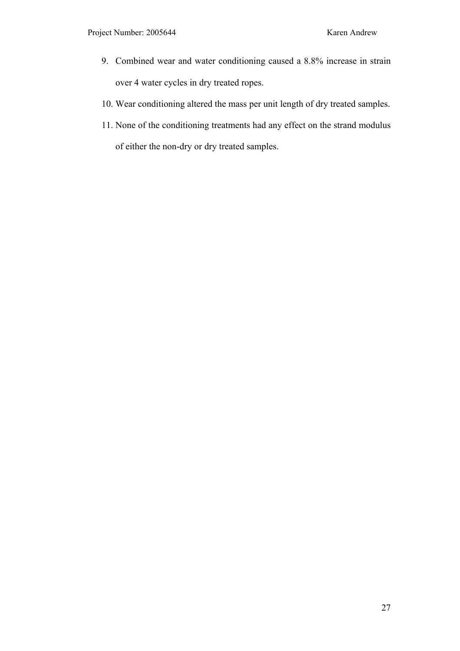- 9. Combined wear and water conditioning caused a 8.8% increase in strain over 4 water cycles in dry treated ropes.
- 10. Wear conditioning altered the mass per unit length of dry treated samples.
- 11. None of the conditioning treatments had any effect on the strand modulus of either the non-dry or dry treated samples.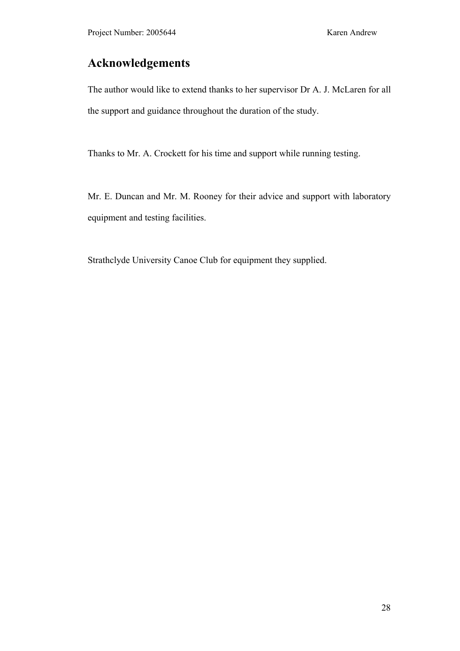## **Acknowledgements**

The author would like to extend thanks to her supervisor Dr A. J. McLaren for all the support and guidance throughout the duration of the study.

Thanks to Mr. A. Crockett for his time and support while running testing.

Mr. E. Duncan and Mr. M. Rooney for their advice and support with laboratory equipment and testing facilities.

Strathclyde University Canoe Club for equipment they supplied.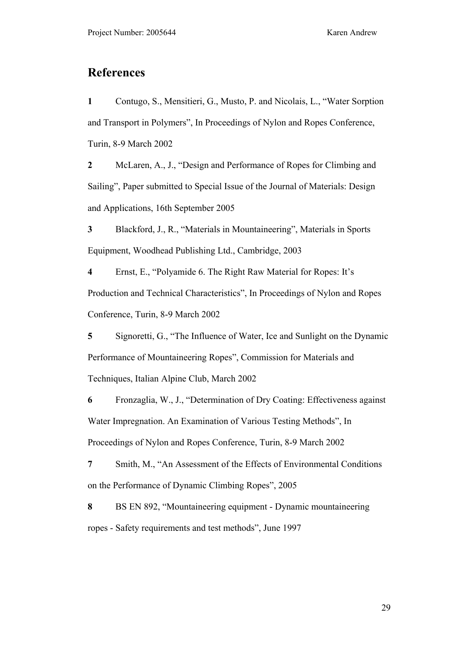## **References**

**1** Contugo, S., Mensitieri, G., Musto, P. and Nicolais, L., "Water Sorption and Transport in Polymers", In Proceedings of Nylon and Ropes Conference, Turin, 8-9 March 2002

**2** McLaren, A., J., "Design and Performance of Ropes for Climbing and Sailing", Paper submitted to Special Issue of the Journal of Materials: Design and Applications, 16th September 2005

**3** Blackford, J., R., "Materials in Mountaineering", Materials in Sports Equipment, Woodhead Publishing Ltd., Cambridge, 2003

**4** Ernst, E., "Polyamide 6. The Right Raw Material for Ropes: It's Production and Technical Characteristics", In Proceedings of Nylon and Ropes Conference, Turin, 8-9 March 2002

**5** Signoretti, G., "The Influence of Water, Ice and Sunlight on the Dynamic Performance of Mountaineering Ropes", Commission for Materials and Techniques, Italian Alpine Club, March 2002

**6** Fronzaglia, W., J., "Determination of Dry Coating: Effectiveness against Water Impregnation. An Examination of Various Testing Methods", In Proceedings of Nylon and Ropes Conference, Turin, 8-9 March 2002

**7** Smith, M., "An Assessment of the Effects of Environmental Conditions on the Performance of Dynamic Climbing Ropes", 2005

**8** BS EN 892, "Mountaineering equipment - Dynamic mountaineering ropes - Safety requirements and test methods", June 1997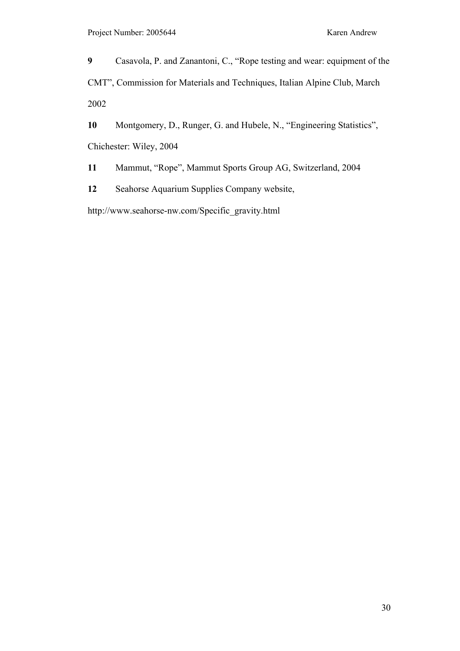**9** Casavola, P. and Zanantoni, C., "Rope testing and wear: equipment of the CMT", Commission for Materials and Techniques, Italian Alpine Club, March 2002

**10** Montgomery, D., Runger, G. and Hubele, N., "Engineering Statistics", Chichester: Wiley, 2004

**11** Mammut, "Rope", Mammut Sports Group AG, Switzerland, 2004

**12** Seahorse Aquarium Supplies Company website,

http://www.seahorse-nw.com/Specific\_gravity.html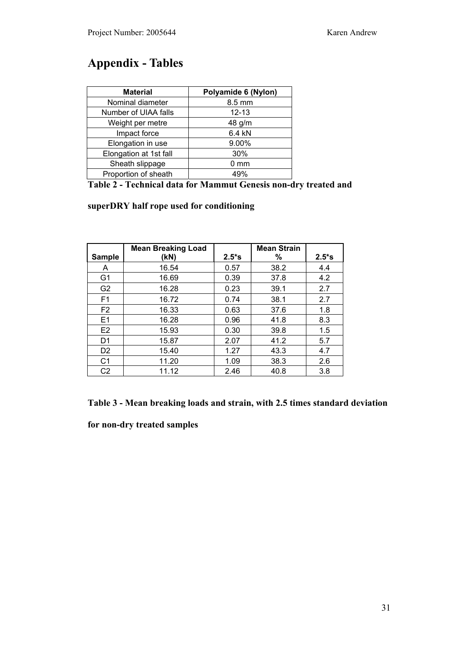## **Appendix - Tables**

| <b>Material</b>        | Polyamide 6 (Nylon) |  |  |
|------------------------|---------------------|--|--|
| Nominal diameter       | 8.5 mm              |  |  |
| Number of UIAA falls   | $12 - 13$           |  |  |
| Weight per metre       | 48 g/m              |  |  |
| Impact force           | 6.4 kN              |  |  |
| Elongation in use      | 9.00%               |  |  |
| Elongation at 1st fall | 30%                 |  |  |
| Sheath slippage        | $0 \text{ mm}$      |  |  |
| Proportion of sheath   | 49%                 |  |  |

|  |  |  |  |  |  | Table 2 - Technical data for Mammut Genesis non-dry treated and |
|--|--|--|--|--|--|-----------------------------------------------------------------|
|--|--|--|--|--|--|-----------------------------------------------------------------|

### **superDRY half rope used for conditioning**

|                | <b>Mean Breaking Load</b> |         | <b>Mean Strain</b> |          |
|----------------|---------------------------|---------|--------------------|----------|
| <b>Sample</b>  | (kN)                      | $2.5*S$ | ℅                  | $2.5*$ s |
| A              | 16.54                     | 0.57    | 38.2               | 4.4      |
| G <sub>1</sub> | 16.69                     | 0.39    | 37.8               | 4.2      |
| G <sub>2</sub> | 16.28                     | 0.23    | 39.1               | 2.7      |
| F <sub>1</sub> | 16.72                     | 0.74    | 38.1               | 2.7      |
| F <sub>2</sub> | 16.33                     | 0.63    | 37.6               | 1.8      |
| E1             | 16.28                     | 0.96    | 41.8               | 8.3      |
| E <sub>2</sub> | 15.93                     | 0.30    | 39.8               | 1.5      |
| D <sub>1</sub> | 15.87                     | 2.07    | 41.2               | 5.7      |
| D <sub>2</sub> | 15.40                     | 1.27    | 43.3               | 4.7      |
| C <sub>1</sub> | 11.20                     | 1.09    | 38.3               | 2.6      |
| C <sub>2</sub> | 11.12                     | 2.46    | 40.8               | 3.8      |

**for non-dry treated samples**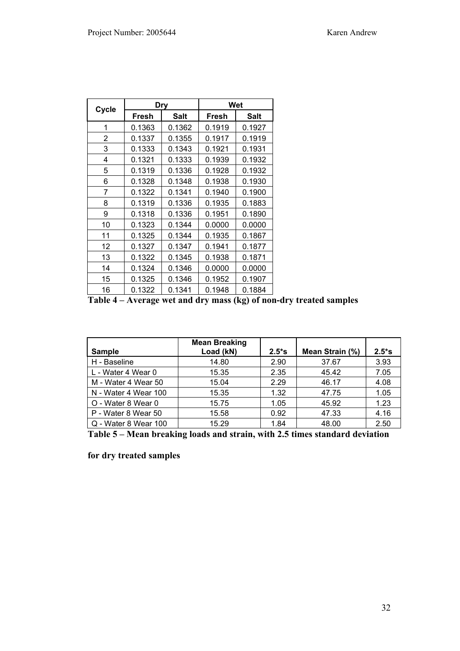| Cycle |                      | <b>Dry</b> | Wet    |        |  |
|-------|----------------------|------------|--------|--------|--|
|       | Fresh<br><b>Salt</b> |            | Fresh  | Salt   |  |
| 1     | 0.1363               | 0.1362     | 0.1919 | 0.1927 |  |
| 2     | 0.1337               | 0.1355     | 0.1917 | 0.1919 |  |
| 3     | 0.1333               | 0.1343     | 0.1921 | 0.1931 |  |
| 4     | 0.1321               | 0.1333     | 0.1939 | 0.1932 |  |
| 5     | 0.1319               | 0.1336     | 0.1928 | 0.1932 |  |
| 6     | 0.1328               | 0.1348     | 0.1938 | 0.1930 |  |
| 7     | 0.1322               | 0.1341     | 0.1940 | 0.1900 |  |
| 8     | 0.1319               | 0.1336     | 0.1935 | 0.1883 |  |
| 9     | 0.1318               | 0.1336     | 0.1951 | 0.1890 |  |
| 10    | 0.1323               | 0.1344     | 0.0000 | 0.0000 |  |
| 11    | 0.1325               | 0.1344     | 0.1935 | 0.1867 |  |
| 12    | 0.1327               | 0.1347     | 0.1941 | 0.1877 |  |
| 13    | 0.1322               | 0.1345     | 0.1938 | 0.1871 |  |
| 14    | 0.1324               | 0.1346     | 0.0000 | 0.0000 |  |
| 15    | 0.1325               | 0.1346     | 0.1952 | 0.1907 |  |
| 16    | 0.1322               | 0.1341     | 0.1948 | 0.1884 |  |

**Table 4 – Average wet and dry mass (kg) of non-dry treated samples** 

| <b>Sample</b>        | <b>Mean Breaking</b><br>Load (kN) | $2.5*$ s | Mean Strain (%) | $2.5*$ s |
|----------------------|-----------------------------------|----------|-----------------|----------|
| H - Baseline         | 14.80                             | 2.90     | 37.67           | 3.93     |
| L - Water 4 Wear 0   | 15.35                             | 2.35     | 45.42           | 7.05     |
| M - Water 4 Wear 50  | 15.04                             | 2.29     | 46.17           | 4.08     |
| N - Water 4 Wear 100 | 15.35                             | 1.32     | 47.75           | 1.05     |
| O - Water 8 Wear 0   | 15.75                             | 1.05     | 45.92           | 1.23     |
| P - Water 8 Wear 50  | 15.58                             | 0.92     | 47.33           | 4.16     |
| Q - Water 8 Wear 100 | 15.29                             | 1.84     | 48.00           | 2.50     |

**Table 5 – Mean breaking loads and strain, with 2.5 times standard deviation** 

**for dry treated samples**